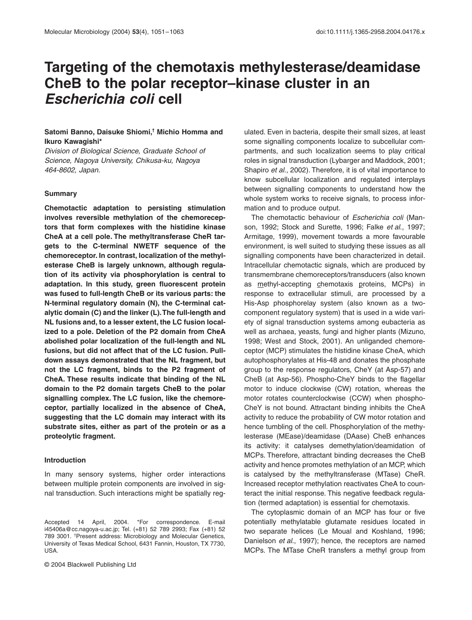# **Targeting of the chemotaxis methylesterase/deamidase CheB to the polar receptor–kinase cluster in an**  *Escherichia coli* **cell**

# **Satomi Banno, Daisuke Shiomi,† Michio Homma and Ikuro Kawagishi\***

*Division of Biological Science, Graduate School of Science, Nagoya University, Chikusa-ku, Nagoya 464-8602, Japan.*

#### **Summary**

**Chemotactic adaptation to persisting stimulation involves reversible methylation of the chemoreceptors that form complexes with the histidine kinase CheA at a cell pole. The methyltransferase CheR targets to the C-terminal NWETF sequence of the chemoreceptor. In contrast, localization of the methylesterase CheB is largely unknown, although regulation of its activity via phosphorylation is central to adaptation. In this study, green fluorescent protein was fused to full-length CheB or its various parts: the N-terminal regulatory domain (N), the C-terminal catalytic domain (C) and the linker (L). The full-length and NL fusions and, to a lesser extent, the LC fusion localized to a pole. Deletion of the P2 domain from CheA abolished polar localization of the full-length and NL fusions, but did not affect that of the LC fusion. Pulldown assays demonstrated that the NL fragment, but not the LC fragment, binds to the P2 fragment of CheA. These results indicate that binding of the NL domain to the P2 domain targets CheB to the polar signalling complex. The LC fusion, like the chemoreceptor, partially localized in the absence of CheA, suggesting that the LC domain may interact with its substrate sites, either as part of the protein or as a proteolytic fragment.**

#### **Introduction**

In many sensory systems, higher order interactions between multiple protein components are involved in signal transduction. Such interactions might be spatially reg-

© 2004 Blackwell Publishing Ltd

ulated. Even in bacteria, despite their small sizes, at least some signalling components localize to subcellular compartments, and such localization seems to play critical roles in signal transduction (Lybarger and Maddock, 2001; Shapiro *et al*., 2002). Therefore, it is of vital importance to know subcellular localization and regulated interplays between signalling components to understand how the whole system works to receive signals, to process information and to produce output.

The chemotactic behaviour of *Escherichia coli* (Manson, 1992; Stock and Surette, 1996; Falke *et al*., 1997; Armitage, 1999), movement towards a more favourable environment, is well suited to studying these issues as all signalling components have been characterized in detail. Intracellular chemotactic signals, which are produced by transmembrane chemoreceptors/transducers (also known as methyl-accepting chemotaxis proteins, MCPs) in response to extracellular stimuli, are processed by a His-Asp phosphorelay system (also known as a twocomponent regulatory system) that is used in a wide variety of signal transduction systems among eubacteria as well as archaea, yeasts, fungi and higher plants (Mizuno, 1998; West and Stock, 2001). An unliganded chemoreceptor (MCP) stimulates the histidine kinase CheA, which autophosphorylates at His-48 and donates the phosphate group to the response regulators, CheY (at Asp-57) and CheB (at Asp-56). Phospho-CheY binds to the flagellar motor to induce clockwise (CW) rotation, whereas the motor rotates counterclockwise (CCW) when phospho-CheY is not bound. Attractant binding inhibits the CheA activity to reduce the probability of CW motor rotation and hence tumbling of the cell. Phosphorylation of the methylesterase (MEase)/deamidase (DAase) CheB enhances its activity: it catalyses demethylation/deamidation of MCPs. Therefore, attractant binding decreases the CheB activity and hence promotes methylation of an MCP, which is catalysed by the methyltransferase (MTase) CheR. Increased receptor methylation reactivates CheA to counteract the initial response. This negative feedback regulation (termed adaptation) is essential for chemotaxis.

The cytoplasmic domain of an MCP has four or five potentially methylatable glutamate residues located in two separate helices (Le Moual and Koshland, 1996; Danielson *et al*., 1997); hence, the receptors are named MCPs. The MTase CheR transfers a methyl group from

Accepted 14 April, 2004. \*For correspondence. E-mail i45406a@cc.nagoya-u.ac.jp; Tel. (+81) 52 789 2993; Fax (+81) 52 789 3001. † Present address: Microbiology and Molecular Genetics, University of Texas Medical School, 6431 Fannin, Houston, TX 7730, USA.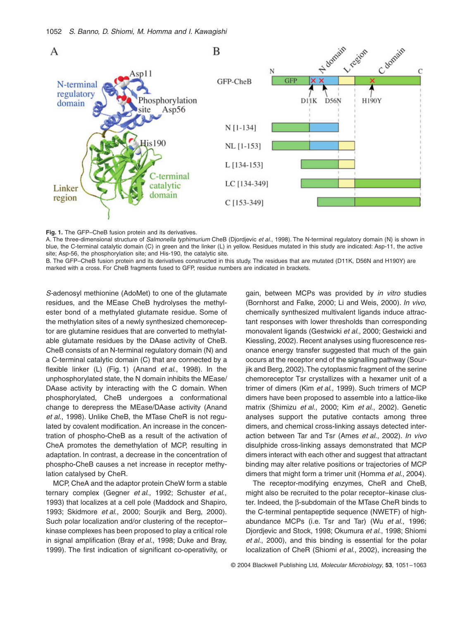

## **Fig. 1.** The GFP–CheB fusion protein and its derivatives.

A. The three-dimensional structure of *Salmonella typhimurium* CheB (Djordjevic *et al*., 1998). The N-terminal regulatory domain (N) is shown in blue, the C-terminal catalytic domain (C) in green and the linker (L) in yellow. Residues mutated in this study are indicated: Asp-11, the active site; Asp-56, the phosphorylation site; and His-190, the catalytic site.

B. The GFP–CheB fusion protein and its derivatives constructed in this study. The residues that are mutated (D11K, D56N and H190Y) are marked with a cross. For CheB fragments fused to GFP, residue numbers are indicated in brackets.

*S-*adenosyl methionine (AdoMet) to one of the glutamate residues, and the MEase CheB hydrolyses the methylester bond of a methylated glutamate residue. Some of the methylation sites of a newly synthesized chemoreceptor are glutamine residues that are converted to methylatable glutamate residues by the DAase activity of CheB. CheB consists of an N-terminal regulatory domain (N) and a C-terminal catalytic domain (C) that are connected by a flexible linker (L) (Fig. 1) (Anand *et al*., 1998). In the unphosphorylated state, the N domain inhibits the MEase/ DAase activity by interacting with the C domain. When phosphorylated, CheB undergoes a conformational change to derepress the MEase/DAase activity (Anand *et al*., 1998). Unlike CheB, the MTase CheR is not regulated by covalent modification. An increase in the concentration of phospho-CheB as a result of the activation of CheA promotes the demethylation of MCP, resulting in adaptation. In contrast, a decrease in the concentration of phospho-CheB causes a net increase in receptor methylation catalysed by CheR.

MCP, CheA and the adaptor protein CheW form a stable ternary complex (Gegner *et al*., 1992; Schuster *et al*., 1993) that localizes at a cell pole (Maddock and Shapiro, 1993; Skidmore *et al*., 2000; Sourjik and Berg, 2000). Such polar localization and/or clustering of the receptor– kinase complexes has been proposed to play a critical role in signal amplification (Bray *et al*., 1998; Duke and Bray, 1999). The first indication of significant co-operativity, or gain, between MCPs was provided by *in vitro* studies (Bornhorst and Falke, 2000; Li and Weis, 2000). *In vivo*, chemically synthesized multivalent ligands induce attractant responses with lower thresholds than corresponding monovalent ligands (Gestwicki *et al*., 2000; Gestwicki and Kiessling, 2002). Recent analyses using fluorescence resonance energy transfer suggested that much of the gain occurs at the receptor end of the signalling pathway (Sourjik and Berg, 2002). The cytoplasmic fragment of the serine chemoreceptor Tsr crystallizes with a hexamer unit of a trimer of dimers (Kim *et al*., 1999). Such trimers of MCP dimers have been proposed to assemble into a lattice-like matrix (Shimizu *et al*., 2000; Kim *et al*., 2002). Genetic analyses support the putative contacts among three dimers, and chemical cross-linking assays detected interaction between Tar and Tsr (Ames *et al*., 2002). *In vivo* disulphide cross-linking assays demonstrated that MCP dimers interact with each other and suggest that attractant binding may alter relative positions or trajectories of MCP dimers that might form a trimer unit (Homma *et al*., 2004).

The receptor-modifying enzymes, CheR and CheB, might also be recruited to the polar receptor–kinase cluster. Indeed, the  $\beta$ -subdomain of the MTase CheR binds to the C-terminal pentapeptide sequence (NWETF) of highabundance MCPs (i.e. Tsr and Tar) (Wu *et al*., 1996; Djordjevic and Stock, 1998; Okumura *et al*., 1998; Shiomi *et al*., 2000), and this binding is essential for the polar localization of CheR (Shiomi *et al*., 2002), increasing the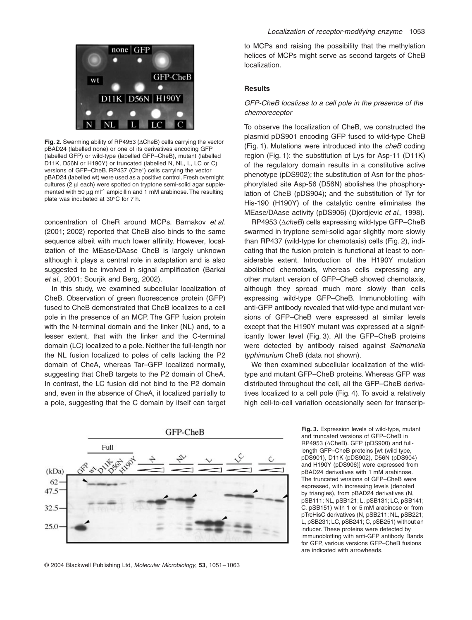

Fig. 2. Swarming ability of RP4953 ( $\triangle$ CheB) cells carrying the vector pBAD24 (labelled none) or one of its derivatives encoding GFP (labelled GFP) or wild-type (labelled GFP–CheB), mutant (labelled D11K, D56N or H190Y) or truncated (labelled N, NL, L, LC or C) versions of GFP-CheB. RP437 (Che<sup>+</sup>) cells carrying the vector pBAD24 (labelled wt) were used as a positive control. Fresh overnight cultures (2 µl each) were spotted on tryptone semi-solid agar supplemented with 50  $\mu$ g m $I^{-1}$  ampicillin and 1 mM arabinose. The resulting plate was incubated at 30∞C for 7 h.

concentration of CheR around MCPs. Barnakov *et al*. (2001; 2002) reported that CheB also binds to the same sequence albeit with much lower affinity. However, localization of the MEase/DAase CheB is largely unknown although it plays a central role in adaptation and is also suggested to be involved in signal amplification (Barkai *et al*., 2001; Sourjik and Berg, 2002).

In this study, we examined subcellular localization of CheB. Observation of green fluorescence protein (GFP) fused to CheB demonstrated that CheB localizes to a cell pole in the presence of an MCP. The GFP fusion protein with the N-terminal domain and the linker (NL) and, to a lesser extent, that with the linker and the C-terminal domain (LC) localized to a pole. Neither the full-length nor the NL fusion localized to poles of cells lacking the P2 domain of CheA, whereas Tar–GFP localized normally, suggesting that CheB targets to the P2 domain of CheA. In contrast, the LC fusion did not bind to the P2 domain and, even in the absence of CheA, it localized partially to a pole, suggesting that the C domain by itself can target

to MCPs and raising the possibility that the methylation helices of MCPs might serve as second targets of CheB localization.

# **Results**

## *GFP-CheB localizes to a cell pole in the presence of the chemoreceptor*

To observe the localization of CheB, we constructed the plasmid pDS901 encoding GFP fused to wild-type CheB (Fig. 1). Mutations were introduced into the *cheB* coding region (Fig. 1): the substitution of Lys for Asp-11 (D11K) of the regulatory domain results in a constitutive active phenotype (pDS902); the substitution of Asn for the phosphorylated site Asp-56 (D56N) abolishes the phosphorylation of CheB (pDS904); and the substitution of Tyr for His-190 (H190Y) of the catalytic centre eliminates the MEase/DAase activity (pDS906) (Djordjevic *et al*., 1998).

RP4953 (∆*cheB*) cells expressing wild-type GFP–CheB swarmed in tryptone semi-solid agar slightly more slowly than RP437 (wild-type for chemotaxis) cells (Fig. 2), indicating that the fusion protein is functional at least to considerable extent. Introduction of the H190Y mutation abolished chemotaxis, whereas cells expressing any other mutant version of GFP–CheB showed chemotaxis, although they spread much more slowly than cells expressing wild-type GFP–CheB. Immunoblotting with anti-GFP antibody revealed that wild-type and mutant versions of GFP–CheB were expressed at similar levels except that the H190Y mutant was expressed at a significantly lower level (Fig. 3). All the GFP–CheB proteins were detected by antibody raised against *Salmonella typhimurium* CheB (data not shown).

We then examined subcellular localization of the wildtype and mutant GFP–CheB proteins. Whereas GFP was distributed throughout the cell, all the GFP–CheB derivatives localized to a cell pole (Fig. 4). To avoid a relatively high cell-to-cell variation occasionally seen for transcrip-



© 2004 Blackwell Publishing Ltd, *Molecular Microbiology*, **53**, 1051–1063

**Fig. 3.** Expression levels of wild-type, mutant and truncated versions of GFP–CheB in RP4953 ( $\triangle$ CheB). GFP ( $p$ DS900) and fulllength GFP–CheB proteins [wt (wild type, pDS901), D11K (pDS902), D56N (pDS904) and H190Y (pDS906)] were expressed from pBAD24 derivatives with 1 mM arabinose. The truncated versions of GFP–CheB were expressed, with increasing levels (denoted by triangles), from pBAD24 derivatives (N, pSB111; NL, pSB121; L, pSB131; LC, pSB141; C, pSB151) with 1 or 5 mM arabinose or from pTrcHisC derivatives (N, pSB211; NL, pSB221; L, pSB231; LC, pSB241; C, pSB251) without an inducer. These proteins were detected by immunoblotting with anti-GFP antibody. Bands for GFP, various versions GFP–CheB fusions are indicated with arrowheads.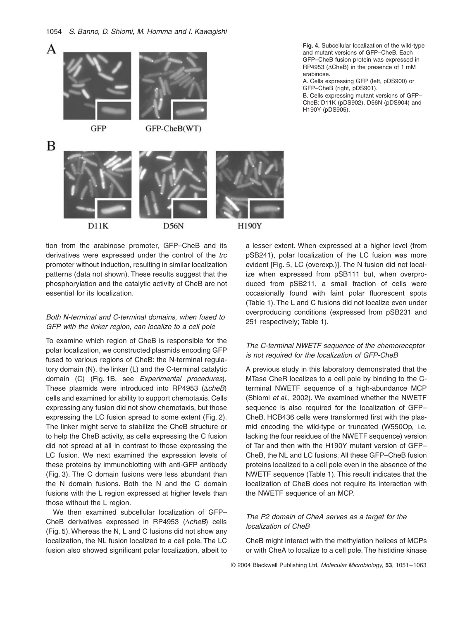

tion from the arabinose promoter, GFP–CheB and its derivatives were expressed under the control of the *trc* promoter without induction, resulting in similar localization patterns (data not shown). These results suggest that the phosphorylation and the catalytic activity of CheB are not essential for its localization.

# *Both N-terminal and C-terminal domains, when fused to GFP with the linker region, can localize to a cell pole*

To examine which region of CheB is responsible for the polar localization, we constructed plasmids encoding GFP fused to various regions of CheB: the N-terminal regulatory domain (N), the linker (L) and the C-terminal catalytic domain (C) (Fig. 1B, see *Experimental procedures*). These plasmids were introduced into RP4953 ( $\triangle$ *cheB*) cells and examined for ability to support chemotaxis. Cells expressing any fusion did not show chemotaxis, but those expressing the LC fusion spread to some extent (Fig. 2). The linker might serve to stabilize the CheB structure or to help the CheB activity, as cells expressing the C fusion did not spread at all in contrast to those expressing the LC fusion. We next examined the expression levels of these proteins by immunoblotting with anti-GFP antibody (Fig. 3). The C domain fusions were less abundant than the N domain fusions. Both the N and the C domain fusions with the L region expressed at higher levels than those without the L region.

We then examined subcellular localization of GFP– CheB derivatives expressed in RP4953 ( $\triangle cheB$ ) cells (Fig. 5). Whereas the N, L and C fusions did not show any localization, the NL fusion localized to a cell pole. The LC fusion also showed significant polar localization, albeit to

**Fig. 4.** Subcellular localization of the wild-type and mutant versions of GFP–CheB. Each GFP–CheB fusion protein was expressed in RP4953 (ACheB) in the presence of 1 mM arabinose.

A. Cells expressing GFP (left, pDS900) or GFP–CheB (right, pDS901).

B. Cells expressing mutant versions of GFP– CheB: D11K (pDS902), D56N (pDS904) and H190Y (pDS905).



# *The C-terminal NWETF sequence of the chemoreceptor is not required for the localization of GFP-CheB*

A previous study in this laboratory demonstrated that the MTase CheR localizes to a cell pole by binding to the Cterminal NWETF sequence of a high-abundance MCP (Shiomi *et al*., 2002). We examined whether the NWETF sequence is also required for the localization of GFP– CheB. HCB436 cells were transformed first with the plasmid encoding the wild-type or truncated (W550Op, i.e. lacking the four residues of the NWETF sequence) version of Tar and then with the H190Y mutant version of GFP– CheB, the NL and LC fusions. All these GFP–CheB fusion proteins localized to a cell pole even in the absence of the NWETF sequence (Table 1). This result indicates that the localization of CheB does not require its interaction with the NWETF sequence of an MCP.

# *The P2 domain of CheA serves as a target for the localization of CheB*

CheB might interact with the methylation helices of MCPs or with CheA to localize to a cell pole. The histidine kinase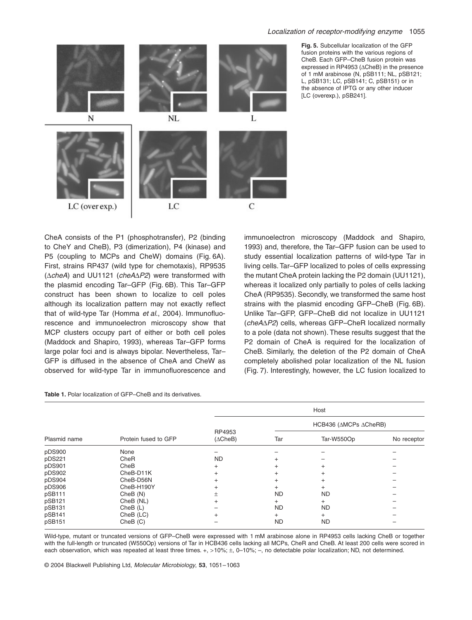

**Fig. 5.** Subcellular localization of the GFP fusion proteins with the various regions of CheB. Each GFP–CheB fusion protein was expressed in RP4953 ( $\triangle$ CheB) in the presence of 1 mM arabinose (N, pSB111; NL, pSB121; L, pSB131; LC, pSB141; C, pSB151) or in the absence of IPTG or any other inducer [LC (overexp.), pSB241].

CheA consists of the P1 (phosphotransfer), P2 (binding to CheY and CheB), P3 (dimerization), P4 (kinase) and P5 (coupling to MCPs and CheW) domains (Fig. 6A). First, strains RP437 (wild type for chemotaxis), RP9535  $(\triangle$ *cheA*) and UU1121 (*cheA* $\triangle$ *P2*) were transformed with the plasmid encoding Tar–GFP (Fig. 6B). This Tar–GFP construct has been shown to localize to cell poles although its localization pattern may not exactly reflect that of wild-type Tar (Homma *et al*., 2004). Immunofluorescence and immunoelectron microscopy show that MCP clusters occupy part of either or both cell poles (Maddock and Shapiro, 1993), whereas Tar–GFP forms large polar foci and is always bipolar. Nevertheless, Tar– GFP is diffused in the absence of CheA and CheW as observed for wild-type Tar in immunofluorescence and

immunoelectron microscopy (Maddock and Shapiro, 1993) and, therefore, the Tar–GFP fusion can be used to study essential localization patterns of wild-type Tar in living cells. Tar–GFP localized to poles of cells expressing the mutant CheA protein lacking the P2 domain (UU1121), whereas it localized only partially to poles of cells lacking CheA (RP9535). Secondly, we transformed the same host strains with the plasmid encoding GFP–CheB (Fig. 6B). Unlike Tar–GFP, GFP–CheB did not localize in UU1121 (*cheA*∆P2) cells, whereas GFP-CheR localized normally to a pole (data not shown). These results suggest that the P2 domain of CheA is required for the localization of CheB. Similarly, the deletion of the P2 domain of CheA completely abolished polar localization of the NL fusion (Fig. 7). Interestingly, however, the LC fusion localized to

| Plasmid name | Protein fused to GFP | Host                         |                       |            |             |
|--------------|----------------------|------------------------------|-----------------------|------------|-------------|
|              |                      | RP4953<br>$(\triangle$ CheB) | HCB436 (AMCPs ACheRB) |            |             |
|              |                      |                              | Tar                   | Tar-W550Op | No receptor |
| pDS900       | None                 |                              |                       |            |             |
| pDS221       | CheR                 | <b>ND</b>                    |                       |            |             |
| pDS901       | CheB                 | $+$                          |                       | $+$        |             |
| pDS902       | CheB-D11K            |                              |                       | $\pm$      |             |
| pDS904       | CheB-D56N            |                              | $\ddot{}$             | $^{+}$     |             |
| pDS906       | CheB-H190Y           |                              |                       | $+$        |             |
| pSB111       | CheB(N)              | ±.                           | <b>ND</b>             | <b>ND</b>  |             |
| pSB121       | CheB (NL)            |                              | $\pm$                 | $^{+}$     |             |
| pSB131       | CheB(L)              |                              | <b>ND</b>             | <b>ND</b>  |             |
| pSB141       | CheB (LC)            |                              | $\ddot{}$             | $^{+}$     |             |
| pSB151       | CheB (C)             |                              | <b>ND</b>             | ND         |             |

**Table 1.** Polar localization of GFP–CheB and its derivatives.

Wild-type, mutant or truncated versions of GFP–CheB were expressed with 1 mM arabinose alone in RP4953 cells lacking CheB or together with the full-length or truncated (W550Op) versions of Tar in HCB436 cells lacking all MCPs, CheR and CheB. At least 200 cells were scored in each observation, which was repeated at least three times. +, >10%; ±, 0–10%; –, no detectable polar localization; ND, not determined.

© 2004 Blackwell Publishing Ltd, *Molecular Microbiology*, **53**, 1051–1063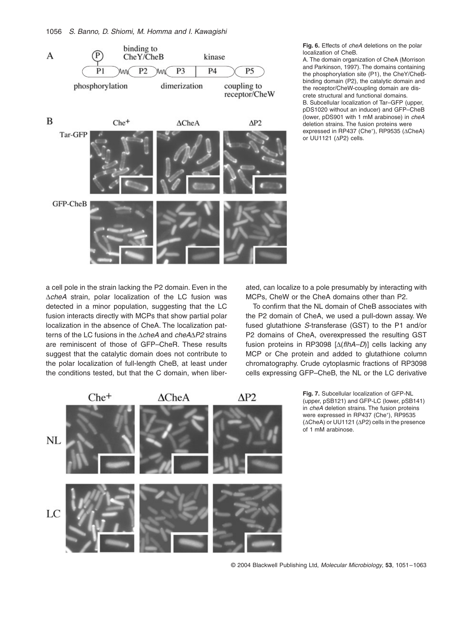

**Fig. 6.** Effects of *cheA* deletions on the polar localization of CheB.

A. The domain organization of CheA (Morrison and Parkinson, 1997). The domains containing the phosphorylation site (P1), the CheY/CheBbinding domain (P2), the catalytic domain and the receptor/CheW-coupling domain are discrete structural and functional domains. B. Subcellular localization of Tar–GFP (upper, pDS1020 without an inducer) and GFP–CheB (lower, pDS901 with 1 mM arabinose) in *cheA* deletion strains. The fusion proteins were expressed in RP437 (Che<sup>+</sup>), RP9535 (ACheA) or UU1121 ( $\Delta$ P2) cells.

a cell pole in the strain lacking the P2 domain. Even in the AcheA strain, polar localization of the LC fusion was detected in a minor population, suggesting that the LC fusion interacts directly with MCPs that show partial polar localization in the absence of CheA. The localization patterns of the LC fusions in the Δ*cheA* and *cheA*Δ*P2* strains are reminiscent of those of GFP–CheR. These results suggest that the catalytic domain does not contribute to the polar localization of full-length CheB, at least under the conditions tested, but that the C domain, when liberated, can localize to a pole presumably by interacting with MCPs, CheW or the CheA domains other than P2.

To confirm that the NL domain of CheB associates with the P2 domain of CheA, we used a pull-down assay. We fused glutathione *S*-transferase (GST) to the P1 and/or P2 domains of CheA, overexpressed the resulting GST fusion proteins in RP3098  $[\Delta(f*l*hA-D)]$  cells lacking any MCP or Che protein and added to glutathione column chromatography. Crude cytoplasmic fractions of RP3098 cells expressing GFP–CheB, the NL or the LC derivative



**Fig. 7.** Subcellular localization of GFP-NL (upper, pSB121) and GFP-LC (lower, pSB141) in *cheA* deletion strains. The fusion proteins were expressed in RP437 (Che<sup>+</sup>), RP9535  $(\Delta$ CheA) or UU1121 ( $\Delta$ P2) cells in the presence of 1 mM arabinose.

© 2004 Blackwell Publishing Ltd, *Molecular Microbiology*, **53**, 1051–1063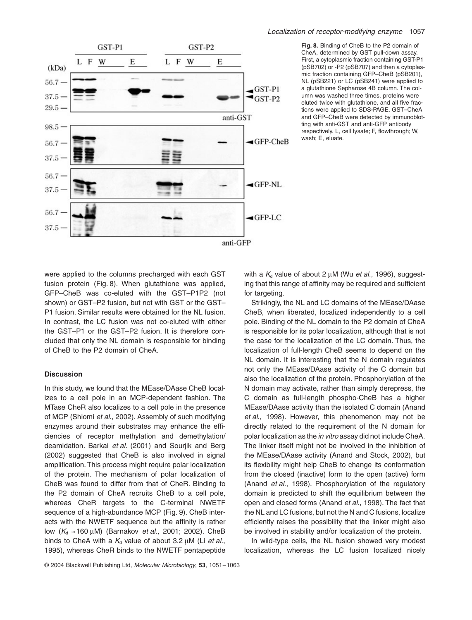

#### *Localization of receptor-modifying enzyme* 1057

**Fig. 8.** Binding of CheB to the P2 domain of CheA, determined by GST pull-down assay. First, a cytoplasmic fraction containing GST-P1 (pSB702) or -P2 (pSB707) and then a cytoplasmic fraction containing GFP–CheB (pSB201), NL (pSB221) or LC (pSB241) were applied to a glutathione Sepharose 4B column. The column was washed three times, proteins were eluted twice with glutathione, and all five fractions were applied to SDS-PAGE. GST–CheA and GFP–CheB were detected by immunoblotting with anti-GST and anti-GFP antibody respectively. L, cell lysate; F, flowthrough; W, wash; E, eluate.

were applied to the columns precharged with each GST fusion protein (Fig. 8). When glutathione was applied, GFP–CheB was co-eluted with the GST–P1P2 (not shown) or GST–P2 fusion, but not with GST or the GST– P1 fusion. Similar results were obtained for the NL fusion. In contrast, the LC fusion was not co-eluted with either the GST–P1 or the GST–P2 fusion. It is therefore concluded that only the NL domain is responsible for binding of CheB to the P2 domain of CheA.

## **Discussion**

In this study, we found that the MEase/DAase CheB localizes to a cell pole in an MCP-dependent fashion. The MTase CheR also localizes to a cell pole in the presence of MCP (Shiomi *et al*., 2002). Assembly of such modifying enzymes around their substrates may enhance the efficiencies of receptor methylation and demethylation/ deamidation. Barkai *et al*. (2001) and Sourjik and Berg (2002) suggested that CheB is also involved in signal amplification. This process might require polar localization of the protein. The mechanism of polar localization of CheB was found to differ from that of CheR. Binding to the P2 domain of CheA recruits CheB to a cell pole, whereas CheR targets to the C-terminal NWETF sequence of a high-abundance MCP (Fig. 9). CheB interacts with the NWETF sequence but the affinity is rather low (*K*<sub>d</sub> ≈160 μM) (Barnakov *et al.*, 2001; 2002). CheB binds to CheA with a  $K_d$  value of about 3.2  $\mu$ M (Li *et al.*, 1995), whereas CheR binds to the NWETF pentapeptide

with a  $K_d$  value of about 2  $\mu$ M (Wu *et al.*, 1996), suggesting that this range of affinity may be required and sufficient for targeting.

Strikingly, the NL and LC domains of the MEase/DAase CheB, when liberated, localized independently to a cell pole. Binding of the NL domain to the P2 domain of CheA is responsible for its polar localization, although that is not the case for the localization of the LC domain. Thus, the localization of full-length CheB seems to depend on the NL domain. It is interesting that the N domain regulates not only the MEase/DAase activity of the C domain but also the localization of the protein. Phosphorylation of the N domain may activate, rather than simply derepress, the C domain as full-length phospho-CheB has a higher MEase/DAase activity than the isolated C domain (Anand *et al*., 1998). However, this phenomenon may not be directly related to the requirement of the N domain for polar localization as the *in vitro* assay did not include CheA. The linker itself might not be involved in the inhibition of the MEase/DAase activity (Anand and Stock, 2002), but its flexibility might help CheB to change its conformation from the closed (inactive) form to the open (active) form (Anand *et al*., 1998). Phosphorylation of the regulatory domain is predicted to shift the equilibrium between the open and closed forms (Anand *et al*., 1998). The fact that the NL and LC fusions, but not the N and C fusions, localize efficiently raises the possibility that the linker might also be involved in stability and/or localization of the protein.

In wild-type cells, the NL fusion showed very modest localization, whereas the LC fusion localized nicely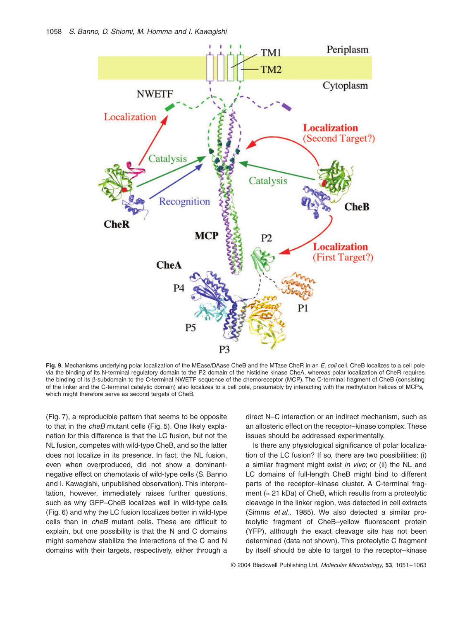

**Fig. 9.** Mechanisms underlying polar localization of the MEase/DAase CheB and the MTase CheR in an *E. coli* cell. CheB localizes to a cell pole via the binding of its N-terminal regulatory domain to the P2 domain of the histidine kinase CheA, whereas polar localization of CheR requires the binding of its  $\beta$ -subdomain to the C-terminal NWETF sequence of the chemoreceptor (MCP). The C-terminal fragment of CheB (consisting of the linker and the C-terminal catalytic domain) also localizes to a cell pole, presumably by interacting with the methylation helices of MCPs, which might therefore serve as second targets of CheB.

(Fig. 7), a reproducible pattern that seems to be opposite to that in the *cheB* mutant cells (Fig. 5). One likely explanation for this difference is that the LC fusion, but not the NL fusion, competes with wild-type CheB, and so the latter does not localize in its presence. In fact, the NL fusion, even when overproduced, did not show a dominantnegative effect on chemotaxis of wild-type cells (S. Banno and I. Kawagishi, unpublished observation). This interpretation, however, immediately raises further questions, such as why GFP–CheB localizes well in wild-type cells (Fig. 6) and why the LC fusion localizes better in wild-type cells than in *cheB* mutant cells. These are difficult to explain, but one possibility is that the N and C domains might somehow stabilize the interactions of the C and N domains with their targets, respectively, either through a direct N–C interaction or an indirect mechanism, such as an allosteric effect on the receptor–kinase complex. These issues should be addressed experimentally.

Is there any physiological significance of polar localization of the LC fusion? If so, there are two possibilities: (i) a similar fragment might exist *in vivo*; or (ii) the NL and LC domains of full-length CheB might bind to different parts of the receptor–kinase cluster. A C-terminal fragment ( $\approx$  21 kDa) of CheB, which results from a proteolytic cleavage in the linker region, was detected in cell extracts (Simms *et al*., 1985). We also detected a similar proteolytic fragment of CheB–yellow fluorescent protein (YFP), although the exact cleavage site has not been determined (data not shown). This proteolytic C fragment by itself should be able to target to the receptor–kinase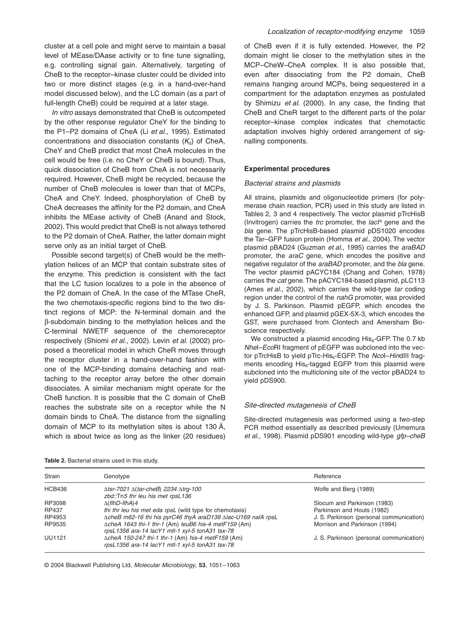cluster at a cell pole and might serve to maintain a basal level of MEase/DAase activity or to fine tune signalling, e.g. controlling signal gain. Alternatively, targeting of CheB to the receptor–kinase cluster could be divided into two or more distinct stages (e.g. in a hand-over-hand model discussed below), and the LC domain (as a part of full-length CheB) could be required at a later stage.

*In vitro* assays demonstrated that CheB is outcompeted by the other response regulator CheY for the binding to the P1–P2 domains of CheA (Li *et al*., 1995). Estimated concentrations and dissociation constants  $(K_d)$  of CheA, CheY and CheB predict that most CheA molecules in the cell would be free (i.e. no CheY or CheB is bound). Thus, quick dissociation of CheB from CheA is not necessarily required. However, CheB might be recycled, because the number of CheB molecules is lower than that of MCPs, CheA and CheY. Indeed, phosphorylation of CheB by CheA decreases the affinity for the P2 domain, and CheA inhibits the MEase activity of CheB (Anand and Stock, 2002). This would predict that CheB is not always tethered to the P2 domain of CheA. Rather, the latter domain might serve only as an initial target of CheB.

Possible second target(s) of CheB would be the methylation helices of an MCP that contain substrate sites of the enzyme. This prediction is consistent with the fact that the LC fusion localizes to a pole in the absence of the P2 domain of CheA. In the case of the MTase CheR, the two chemotaxis-specific regions bind to the two distinct regions of MCP: the N-terminal domain and the  $\beta$ -subdomain binding to the methylation helices and the C-terminal NWETF sequence of the chemoreceptor respectively (Shiomi *et al*., 2002). Levin *et al*. (2002) proposed a theoretical model in which CheR moves through the receptor cluster in a hand-over-hand fashion with one of the MCP-binding domains detaching and reattaching to the receptor array before the other domain dissociates. A similar mechanism might operate for the CheB function. It is possible that the C domain of CheB reaches the substrate site on a receptor while the N domain binds to CheA. The distance from the signalling domain of MCP to its methylation sites is about 130 Å, which is about twice as long as the linker (20 residues)

of CheB even if it is fully extended. However, the P2 domain might lie closer to the methylation sites in the MCP–CheW–CheA complex. It is also possible that, even after dissociating from the P2 domain, CheB remains hanging around MCPs, being sequestered in a compartment for the adaptation enzymes as postulated by Shimizu *et al*. (2000). In any case, the finding that CheB and CheR target to the different parts of the polar receptor–kinase complex indicates that chemotactic adaptation involves highly ordered arrangement of signalling components.

#### **Experimental procedures**

#### *Bacterial strains and plasmids*

All strains, plasmids and oligonucleotide primers (for polymerase chain reaction, PCR) used in this study are listed in Tables 2, 3 and 4 respectively. The vector plasmid pTrcHisB (Invitrogen) carries the *trc* promoter, the *lacI<sup>q</sup>* gene and the *bla* gene. The pTrcHisB-based plasmid pDS1020 encodes the Tar–GFP fusion protein (Homma *et al*., 2004). The vector plasmid pBAD24 (Guzman *et al*., 1995) carries the *araBAD* promoter, the *araC* gene, which encodes the positive and negative regulator of the *araBAD* promoter, and the *bla* gene. The vector plasmid pACYC184 (Chang and Cohen, 1978) carries the *cat* gene. The pACYC184-based plasmid, pLC113 (Ames *et al*., 2002), which carries the wild-type *tar* coding region under the control of the *nahG* promoter, was provided by J. S. Parkinson. Plasmid pEGFP, which encodes the enhanced GFP, and plasmid pGEX-5X-3, which encodes the GST, were purchased from Clontech and Amersham Bioscience respectively.

We constructed a plasmid encoding  $His<sub>6</sub>$ -GFP. The 0.7 kb *Nhe*I–*Eco*RI fragment of pEGFP was subcloned into the vector pTrcHisB to yield pTrc-His<sub>6</sub>-EGFP. The *Ncol–Hin*dIII fragments encoding His<sub>6</sub>-tagged EGFP from this plasmid were subcloned into the multicloning site of the vector pBAD24 to yield pDS900.

#### *Site-directed mutagenesis of CheB*

Site-directed mutagenesis was performed using a two-step PCR method essentially as described previously (Umemura *et al*., 1998). Plasmid pDS901 encoding wild-type *gfp–cheB*

| Strain        | Genotype                                                                                                           | Reference                                |
|---------------|--------------------------------------------------------------------------------------------------------------------|------------------------------------------|
| <b>HCB436</b> | $\Delta$ tsr-7021 $\Delta$ (tar-cheB) 2234 $\Delta$ trg-100<br>zbd::Tn5 thr leu his met rpsL136                    | Wolfe and Berg (1989)                    |
| RP3098        | $\Delta$ (flhD-flhA)4                                                                                              | Slocum and Parkinson (1983)              |
| RP437         | thi thr leu his met eda rpsL (wild type for chemotaxis)                                                            | Parkinson and Houts (1982)               |
| RP4953        | ∆cheB m62-16 thi his pyrC46 thyA araD139 ∆lac-U169 nalA rpsL                                                       | J. S. Parkinson (personal communication) |
| RP9535        | $\triangle$ cheA 1643 thi-1 thr-1 (Am) leuB6 his-4 metF159 (Am)<br>rpsL1356 ara-14 lacY1 mtl-1 xyl-5 tonA31 tsx-78 | Morrison and Parkinson (1994)            |
| <b>UU1121</b> | $\Delta$ cheA 150-247 thi-1 thr-1 (Am) his-4 metF159 (Am)<br>rpsL1356 ara-14 lacY1 mtl-1 xyl-5 tonA31 tsx-78       | J. S. Parkinson (personal communication) |

**Table 2.** Bacterial strains used in this study.

© 2004 Blackwell Publishing Ltd, *Molecular Microbiology*, **53**, 1051–1063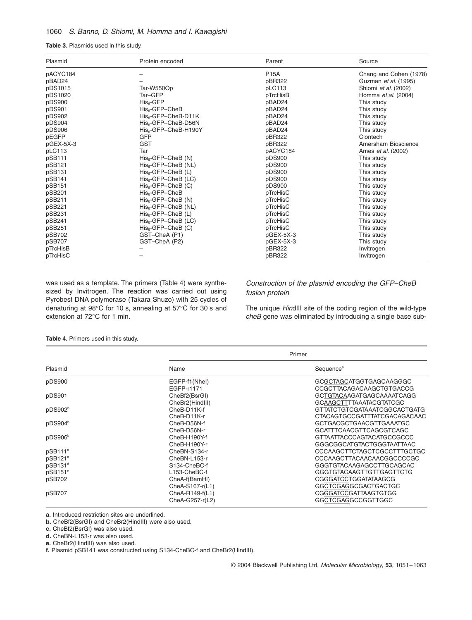# 1060 *S. Banno, D. Shiomi, M. Homma and I. Kawagishi*

**Table 3.** Plasmids used in this study.

| Plasmid   | Protein encoded                  | Parent      | Source                    |
|-----------|----------------------------------|-------------|---------------------------|
| pACYC184  |                                  | <b>P15A</b> | Chang and Cohen (1978)    |
| pBAD24    |                                  | pBR322      | Guzman et al. (1995)      |
| pDS1015   | Tar-W550Op                       | pLC113      | Shiomi et al. (2002)      |
| pDS1020   | Tar-GFP                          | pTrcHisB    | Homma et al. (2004)       |
| pDS900    | $His6-GFP$                       | pBAD24      | This study                |
| pDS901    | His <sub>e</sub> -GFP-CheB       | pBAD24      | This study                |
| pDS902    | $His6$ -GFP-CheB-D11K            | pBAD24      | This study                |
| pDS904    | His <sub>6</sub> -GFP-CheB-D56N  | pBAD24      | This study                |
| pDS906    | His <sub>6</sub> -GFP-CheB-H190Y | pBAD24      | This study                |
| pEGFP     | GFP                              | pBR322      | Clontech                  |
| pGEX-5X-3 | <b>GST</b>                       | pBR322      | Amersham Bioscience       |
| pLC113    | Tar                              | pACYC184    | Ames <i>et al.</i> (2002) |
| pSB111    | $His6-GFP–CheB (N)$              | pDS900      | This study                |
| pSB121    | $His6-GFP–CheB (NL)$             | pDS900      | This study                |
| pSB131    | $His6-GFP-CheB (L)$              | pDS900      | This study                |
| pSB141    | $His6-GFP–CheB (LC)$             | pDS900      | This study                |
| pSB151    | $His6-GFP–CheB (C)$              | pDS900      | This study                |
| pSB201    | His <sub>e</sub> -GFP-CheB       | pTrcHisC    | This study                |
| pSB211    | $His6-GFP-CheB (N)$              | pTrcHisC    | This study                |
| pSB221    | $His6-GFP–CheB (NL)$             | pTrcHisC    | This study                |
| pSB231    | $His6-GFP-CheB (L)$              | pTrcHisC    | This study                |
| pSB241    | $His6-GFP–CheB (LC)$             | pTrcHisC    | This study                |
| pSB251    | $His6-GFP–CheB (C)$              | pTrcHisC    | This study                |
| pSB702    | GST-CheA (P1)                    | pGEX-5X-3   | This study                |
| pSB707    | GST-CheA (P2)                    | pGEX-5X-3   | This study                |
| pTrcHisB  |                                  | pBR322      | Invitrogen                |
| pTrcHisC  |                                  | pBR322      | Invitrogen                |

was used as a template. The primers (Table 4) were synthesized by Invitrogen. The reaction was carried out using Pyrobest DNA polymerase (Takara Shuzo) with 25 cycles of denaturing at 98∞C for 10 s, annealing at 57∞C for 30 s and extension at 72∞C for 1 min.

# *Construction of the plasmid encoding the GFP–CheB fusion protein*

The unique *Hin*dIII site of the coding region of the wild-type *cheB* gene was eliminated by introducing a single base sub-

#### **Table 4.** Primers used in this study.

|                     | Primer          |                                |  |
|---------------------|-----------------|--------------------------------|--|
| Plasmid             | Name            | Sequence <sup>a</sup>          |  |
| pDS900              | EGFP-f1(Nhel)   | GCGCTAGCATGGTGAGCAAGGGC        |  |
|                     | EGFP-r1171      | CCGCTTACAGACAAGCTGTGACCG       |  |
| pDS901              | CheBf2(BsrGI)   | GCTGTACAAGATGAGCAAAATCAGG      |  |
|                     | CheBr2(HindIII) | <b>GCAAGCTTTTAAATACGTATCGC</b> |  |
| pDS902 <sup>b</sup> | CheB-D11K-f     | GTTATCTGTCGATAAATCGGCACTGATG   |  |
|                     | CheB-D11K-r     | CTACAGTGCCGATTTATCGACAGACAAC   |  |
| pDS904 <sup>b</sup> | CheB-D56N-f     | <b>GCTGACGCTGAACGTTGAAATGC</b> |  |
|                     | CheB-D56N-r     | GCATTTCAACGTTCAGCGTCAGC        |  |
| pDS906 <sup>b</sup> | CheB-H190Y-f    | GTTAATTACCCAGTACATGCCGCCC      |  |
|                     | CheB-H190Y-r    | GGGCGGCATGTACTGGGTAATTAAC      |  |
| pSB111 <sup>c</sup> | CheBN-S134-r    | CCCAAGCTTCTAGCTCGCCTTTGCTGC    |  |
| pSB121 <sup>c</sup> | CheBN-L153-r    | CCCAAGCTTACAACAACGGCCCCGC      |  |
| pSB131 <sup>d</sup> | S134-CheBC-f    | GGGTGTACAAGAGCCTTGCAGCAC       |  |
| pSB151 <sup>e</sup> | L153-CheBC-f    | GGGTGTACAAGTTGTTGAGTTCTG       |  |
| pSB702              | CheA-f(BamHI)   | <b>CGGGATCCTGGATATAAGCG</b>    |  |
|                     | CheA-S167-r(L1) | GGCTCGAGGCGACTGACTGC           |  |
| pSB707              | CheA-R149-f(L1) | CGGGATCCGATTAAGTGTGG           |  |
|                     | CheA-G257-r(L2) | GGCTCGAGGCCGGTTGGC             |  |

**a.** Introduced restriction sites are underlined.

**b.** CheBf2(BsrGI) and CheBr2(HindIII) were also used.

**c.** CheBf2(BsrGI) was also used.

**d.** CheBN-L153-r was also used.

**e.** CheBr2(HindIII) was also used.

**f.** Plasmid pSB141 was constructed using S134-CheBC-f and CheBr2(HindIII).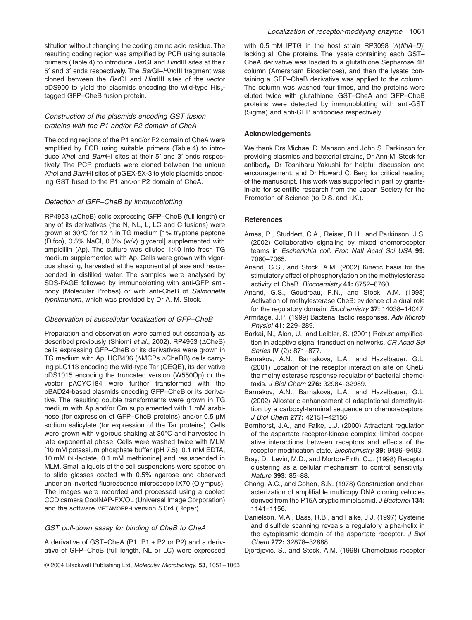stitution without changing the coding amino acid residue. The resulting coding region was amplified by PCR using suitable primers (Table 4) to introduce *Bsr*GI and *Hin*dIII sites at their 5¢ and 3¢ ends respectively. The *Bsr*GI–*Hin*dIII fragment was cloned between the *Bsr*GI and *Hin*dIII sites of the vector pDS900 to yield the plasmids encoding the wild-type  $His<sub>6</sub>$ tagged GFP–CheB fusion protein.

## *Construction of the plasmids encoding GST fusion proteins with the P1 and/or P2 domain of CheA*

The coding regions of the P1 and/or P2 domain of CheA were amplified by PCR using suitable primers (Table 4) to introduce *Xho*I and *Bam*HI sites at their 5¢ and 3¢ ends respectively. The PCR products were cloned between the unique *Xho*I and *Bam*HI sites of pGEX-5X-3 to yield plasmids encoding GST fused to the P1 and/or P2 domain of CheA.

## *Detection of GFP–CheB by immunoblotting*

RP4953 ( $\triangle$ CheB) cells expressing GFP–CheB (full length) or any of its derivatives (the N, NL, L, LC and C fusions) were grown at 30∞C for 12 h in TG medium [1% tryptone peptone (Difco), 0.5% NaCl, 0.5% (w/v) glycerol] supplemented with ampicillin (Ap). The culture was diluted 1:40 into fresh TG medium supplemented with Ap. Cells were grown with vigorous shaking, harvested at the exponential phase and resuspended in distilled water. The samples were analysed by SDS-PAGE followed by immunoblotting with anti-GFP antibody (Molecular Probes) or with anti-CheB of *Salmonella typhimurium*, which was provided by Dr A. M. Stock.

## *Observation of subcellular localization of GFP–CheB*

Preparation and observation were carried out essentially as described previously (Shiomi *et al.*, 2002). RP4953 ( $\triangle$ CheB) cells expressing GFP–CheB or its derivatives were grown in TG medium with Ap. HCB436 (AMCPs ACheRB) cells carrying pLC113 encoding the wild-type Tar (QEQE), its derivative pDS1015 encoding the truncated version (W550Op) or the vector pACYC184 were further transformed with the pBAD24-based plasmids encoding GFP–CheB or its derivative. The resulting double transformants were grown in TG medium with Ap and/or Cm supplemented with 1 mM arabinose (for expression of GFP–CheB proteins) and/or  $0.5 \mu M$ sodium salicylate (for expression of the Tar proteins). Cells were grown with vigorous shaking at 30∞C and harvested in late exponential phase. Cells were washed twice with MLM [10 mM potassium phosphate buffer (pH 7.5), 0.1 mM EDTA, 10 mM DL-lactate, 0.1 mM methionine] and resuspended in MLM. Small aliquots of the cell suspensions were spotted on to slide glasses coated with 0.5% agarose and observed under an inverted fluorescence microscope IX70 (Olympus). The images were recorded and processed using a cooled CCD camera CoolNAP-FX/OL (Universal Image Corporation) and the software METAMORPH version 5.0r4 (Roper).

## *GST pull-down assay for binding of CheB to CheA*

A derivative of GST–CheA (P1, P1 + P2 or P2) and a derivative of GFP–CheB (full length, NL or LC) were expressed

© 2004 Blackwell Publishing Ltd, *Molecular Microbiology*, **53**, 1051–1063

1141–1156.

- Danielson, M.A., Bass, R.B., and Falke, J.J. (1997) Cysteine and disulfide scanning reveals a regulatory alpha-helix in the cytoplasmic domain of the aspartate receptor. *J Biol Chem* **272:** 32878–32888.
- Djordjevic, S., and Stock, A.M. (1998) Chemotaxis receptor

with 0.5 mM IPTG in the host strain RP3098 [ $\Delta$ (*flhA–D*)] lacking all Che proteins. The lysate containing each GST– CheA derivative was loaded to a glutathione Sepharose 4B column (Amersham Biosciences), and then the lysate containing a GFP–CheB derivative was applied to the column. The column was washed four times, and the proteins were eluted twice with glutathione. GST–CheA and GFP–CheB proteins were detected by immunoblotting with anti-GST (Sigma) and anti-GFP antibodies respectively.

## **Acknowledgements**

We thank Drs Michael D. Manson and John S. Parkinson for providing plasmids and bacterial strains, Dr Ann M. Stock for antibody, Dr Toshiharu Yakushi for helpful discussion and encouragement, and Dr Howard C. Berg for critical reading of the manuscript. This work was supported in part by grantsin-aid for scientific research from the Japan Society for the Promotion of Science (to D.S. and I.K.).

## **References**

- Ames, P., Studdert, C.A., Reiser, R.H., and Parkinson, J.S. (2002) Collaborative signaling by mixed chemoreceptor teams in *Escherichia coli*. *Proc Natl Acad Sci USA* **99:** 7060–7065.
- Anand, G.S., and Stock, A.M. (2002) Kinetic basis for the stimulatory effect of phosphorylation on the methylesterase activity of CheB. *Biochemistry* **41:** 6752–6760.
- Anand, G.S., Goudreau, P.N., and Stock, A.M. (1998) Activation of methylesterase CheB: evidence of a dual role for the regulatory domain. *Biochemistry* **37:** 14038–14047.
- Armitage, J.P. (1999) Bacterial tactic responses. *Adv Microb Physiol* **41:** 229–289.
- Barkai, N., Alon, U., and Leibler, S. (2001) Robust amplification in adaptive signal transduction networks. *CR Acad Sci Series* **IV** (2)**:** 871–877.
- Barnakov, A.N., Barnakova, L.A., and Hazelbauer, G.L. (2001) Location of the receptor interaction site on CheB, the methylesterase response regulator of bacterial chemotaxis. *J Biol Chem* **276:** 32984–32989.
- Barnakov, A.N., Barnakova, L.A., and Hazelbauer, G.L. (2002) Allosteric enhancement of adaptational demethylation by a carboxyl-terminal sequence on chemoreceptors. *J Biol Chem* **277:** 42151–42156.
- Bornhorst, J.A., and Falke, J.J. (2000) Attractant regulation of the aspartate receptor-kinase complex: limited cooperative interactions between receptors and effects of the receptor modification state. *Biochemistry* **39:** 9486–9493.
- Bray, D., Levin, M.D., and Morton-Firth, C.J. (1998) Receptor clustering as a cellular mechanism to control sensitivity. *Nature* **393:** 85–88.
- Chang, A.C., and Cohen, S.N. (1978) Construction and characterization of amplifiable multicopy DNA cloning vehicles derived from the P15A cryptic miniplasmid. *J Bacteriol* **134:**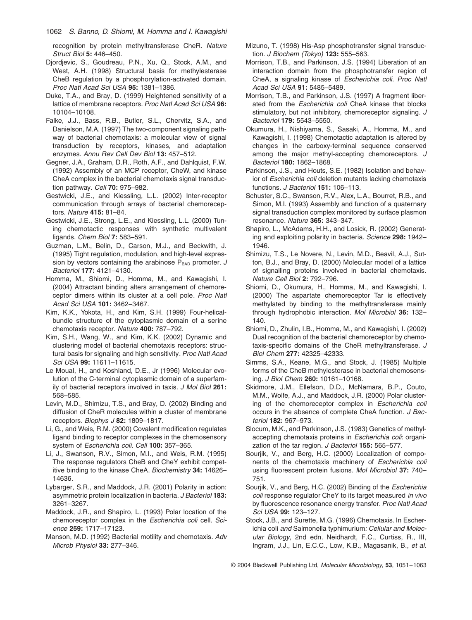recognition by protein methyltransferase CheR. *Nature Struct Biol* **5:** 446–450.

- Djordjevic, S., Goudreau, P.N., Xu, Q., Stock, A.M., and West, A.H. (1998) Structural basis for methylesterase CheB regulation by a phosphorylation-activated domain. *Proc Natl Acad Sci USA* **95:** 1381–1386.
- Duke, T.A., and Bray, D. (1999) Heightened sensitivity of a lattice of membrane receptors. *Proc Natl Acad Sci USA* **96:** 10104–10108.
- Falke, J.J., Bass, R.B., Butler, S.L., Chervitz, S.A., and Danielson, M.A. (1997) The two-component signaling pathway of bacterial chemotaxis: a molecular view of signal transduction by receptors, kinases, and adaptation enzymes. *Annu Rev Cell Dev Biol* **13:** 457–512.
- Gegner, J.A., Graham, D.R., Roth, A.F., and Dahlquist, F.W. (1992) Assembly of an MCP receptor, CheW, and kinase CheA complex in the bacterial chemotaxis signal transduction pathway. *Cell* **70:** 975–982.
- Gestwicki, J.E., and Kiessling, L.L. (2002) Inter-receptor communication through arrays of bacterial chemoreceptors. *Nature* **415:** 81–84.
- Gestwicki, J.E., Strong, L.E., and Kiessling, L.L. (2000) Tuning chemotactic responses with synthetic multivalent ligands. *Chem Biol* **7:** 583–591.
- Guzman, L.M., Belin, D., Carson, M.J., and Beckwith, J. (1995) Tight regulation, modulation, and high-level expression by vectors containing the arabinose  $P_{BAD}$  promoter. *J Bacteriol* **177:** 4121–4130.
- Homma, M., Shiomi, D., Homma, M., and Kawagishi, I. (2004) Attractant binding alters arrangement of chemoreceptor dimers within its cluster at a cell pole. *Proc Natl Acad Sci USA* **101:** 3462–3467.
- Kim, K.K., Yokota, H., and Kim, S.H. (1999) Four-helicalbundle structure of the cytoplasmic domain of a serine chemotaxis receptor. *Nature* **400:** 787–792.
- Kim, S.H., Wang, W., and Kim, K.K. (2002) Dynamic and clustering model of bacterial chemotaxis receptors: structural basis for signaling and high sensitivity. *Proc Natl Acad Sci USA* **99:** 11611–11615.
- Le Moual, H., and Koshland, D.E., Jr (1996) Molecular evolution of the C-terminal cytoplasmic domain of a superfamily of bacterial receptors involved in taxis. *J Mol Biol* **261:** 568–585.
- Levin, M.D., Shimizu, T.S., and Bray, D. (2002) Binding and diffusion of CheR molecules within a cluster of membrane receptors. *Biophys J* **82:** 1809–1817.
- Li, G., and Weis, R.M. (2000) Covalent modification regulates ligand binding to receptor complexes in the chemosensory system of *Escherichia coli*. *Cell* **100:** 357–365.
- Li, J., Swanson, R.V., Simon, M.I., and Weis, R.M. (1995) The response regulators CheB and CheY exhibit competitive binding to the kinase CheA. *Biochemistry* **34:** 14626– 14636.
- Lybarger, S.R., and Maddock, J.R. (2001) Polarity in action: asymmetric protein localization in bacteria. *J Bacteriol* **183:** 3261–3267.
- Maddock, J.R., and Shapiro, L. (1993) Polar location of the chemoreceptor complex in the *Escherichia coli* cell. *Science* **259:** 1717–17123.
- Manson, M.D. (1992) Bacterial motility and chemotaxis. *Adv Microb Physiol* **33:** 277–346.
- Mizuno, T. (1998) His-Asp phosphotransfer signal transduction. *J Biochem (Tokyo)* **123:** 555–563.
- Morrison, T.B., and Parkinson, J.S. (1994) Liberation of an interaction domain from the phosphotransfer region of CheA, a signaling kinase of *Escherichia coli*. *Proc Natl Acad Sci USA* **91:** 5485–5489.
- Morrison, T.B., and Parkinson, J.S. (1997) A fragment liberated from the *Escherichia coli* CheA kinase that blocks stimulatory, but not inhibitory, chemoreceptor signaling. *J Bacteriol* **179:** 5543–5550.
- Okumura, H., Nishiyama, S., Sasaki, A., Homma, M., and Kawagishi, I. (1998) Chemotactic adaptation is altered by changes in the carboxy-terminal sequence conserved among the major methyl-accepting chemoreceptors. *J Bacteriol* **180:** 1862–1868.
- Parkinson, J.S., and Houts, S.E. (1982) Isolation and behavior of *Escherichia coli* deletion mutants lacking chemotaxis functions. *J Bacteriol* **151:** 106–113.
- Schuster, S.C., Swanson, R.V., Alex, L.A., Bourret, R.B., and Simon, M.I. (1993) Assembly and function of a quaternary signal transduction complex monitored by surface plasmon resonance. *Nature* **365:** 343–347.
- Shapiro, L., McAdams, H.H., and Losick, R. (2002) Generating and exploiting polarity in bacteria. *Science* **298:** 1942– 1946.
- Shimizu, T.S., Le Novere, N., Levin, M.D., Beavil, A.J., Sutton, B.J., and Bray, D. (2000) Molecular model of a lattice of signalling proteins involved in bacterial chemotaxis. *Nature Cell Biol* **2:** 792–796.
- Shiomi, D., Okumura, H., Homma, M., and Kawagishi, I. (2000) The aspartate chemoreceptor Tar is effectively methylated by binding to the methyltransferase mainly through hydrophobic interaction. *Mol Microbiol* **36:** 132– 140.
- Shiomi, D., Zhulin, I.B., Homma, M., and Kawagishi, I. (2002) Dual recognition of the bacterial chemoreceptor by chemotaxis-specific domains of the CheR methyltransferase. *J Biol Chem* **277:** 42325–42333.
- Simms, S.A., Keane, M.G., and Stock, J. (1985) Multiple forms of the CheB methylesterase in bacterial chemosensing. *J Biol Chem* **260:** 10161–10168.
- Skidmore, J.M., Ellefson, D.D., McNamara, B.P., Couto, M.M., Wolfe, A.J., and Maddock, J.R. (2000) Polar clustering of the chemoreceptor complex in *Escherichia coli* occurs in the absence of complete CheA function. *J Bacteriol* **182:** 967–973.
- Slocum, M.K., and Parkinson, J.S. (1983) Genetics of methylaccepting chemotaxis proteins in *Escherichia coli*: organization of the tar region. *J Bacteriol* **155:** 565–577.
- Sourjik, V., and Berg, H.C. (2000) Localization of components of the chemotaxis machinery of *Escherichia coli* using fluorescent protein fusions. *Mol Microbiol* **37:** 740– 751.
- Sourjik, V., and Berg, H.C. (2002) Binding of the *Escherichia coli* response regulator CheY to its target measured *in vivo* by fluorescence resonance energy transfer. *Proc Natl Acad Sci USA* **99:** 123–127.
- Stock, J.B., and Surette, M.G. (1996) Chemotaxis. In Escherichia coli *and* Salmonella typhimurium*: Cellular and Molecular Biology*, 2nd edn. Neidhardt, F.C., Curtiss, R., III, Ingram, J.J., Lin, E.C.C., Low, K.B., Magasanik, B., *et al.*